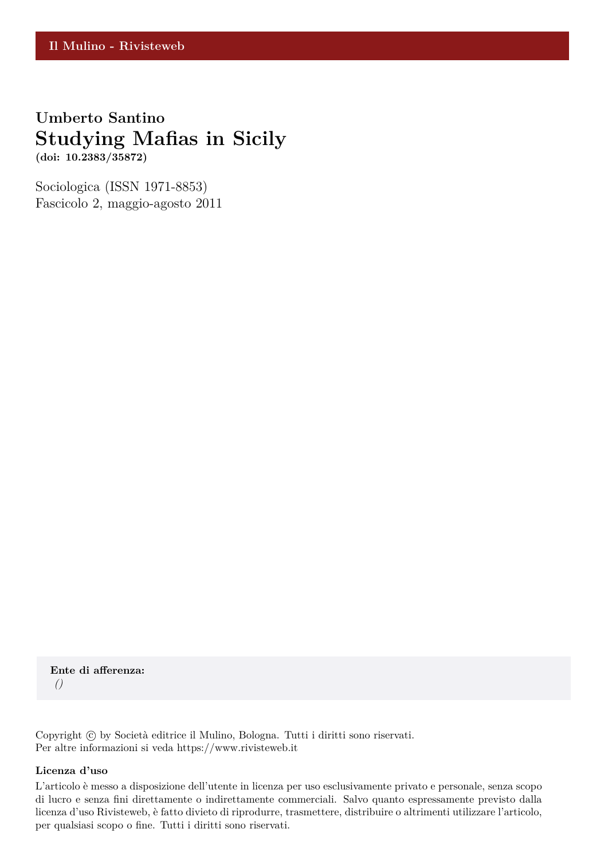## **Umberto Santino Studying Mafias in Sicily**

**(doi: 10.2383/35872)**

Sociologica (ISSN 1971-8853) Fascicolo 2, maggio-agosto 2011

**Ente di afferenza:** *()*

Copyright © by Società editrice il Mulino, Bologna. Tutti i diritti sono riservati. Per altre informazioni si veda https://www.rivisteweb.it

#### **Licenza d'uso**

L'articolo è messo a disposizione dell'utente in licenza per uso esclusivamente privato e personale, senza scopo di lucro e senza fini direttamente o indirettamente commerciali. Salvo quanto espressamente previsto dalla licenza d'uso Rivisteweb, è fatto divieto di riprodurre, trasmettere, distribuire o altrimenti utilizzare l'articolo, per qualsiasi scopo o fine. Tutti i diritti sono riservati.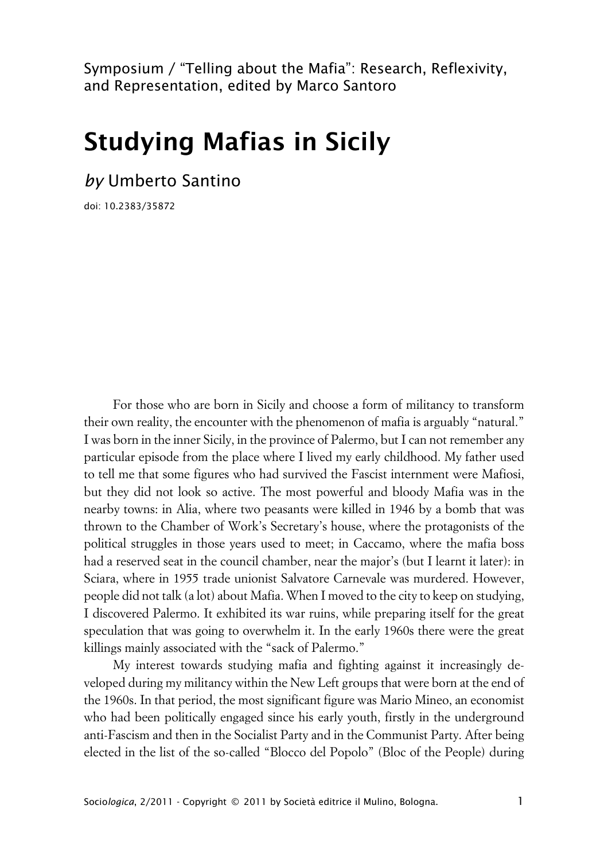Symposium / "Telling about the Mafia": Research, Reflexivity, and Representation, edited by Marco Santoro

# **Studying Mafias in Sicily**

*by* Umberto Santino

doi: 10.2383/35872

For those who are born in Sicily and choose a form of militancy to transform their own reality, the encounter with the phenomenon of mafia is arguably "natural." I was born in the inner Sicily, in the province of Palermo, but I can not remember any particular episode from the place where I lived my early childhood. My father used to tell me that some figures who had survived the Fascist internment were Mafiosi, but they did not look so active. The most powerful and bloody Mafia was in the nearby towns: in Alia, where two peasants were killed in 1946 by a bomb that was thrown to the Chamber of Work's Secretary's house, where the protagonists of the political struggles in those years used to meet; in Caccamo, where the mafia boss had a reserved seat in the council chamber, near the major's (but I learnt it later): in Sciara, where in 1955 trade unionist Salvatore Carnevale was murdered. However, people did not talk (a lot) about Mafia. When I moved to the city to keep on studying, I discovered Palermo. It exhibited its war ruins, while preparing itself for the great speculation that was going to overwhelm it. In the early 1960s there were the great killings mainly associated with the "sack of Palermo."

My interest towards studying mafia and fighting against it increasingly developed during my militancy within the New Left groups that were born at the end of the 1960s. In that period, the most significant figure was Mario Mineo, an economist who had been politically engaged since his early youth, firstly in the underground anti-Fascism and then in the Socialist Party and in the Communist Party. After being elected in the list of the so-called "Blocco del Popolo" (Bloc of the People) during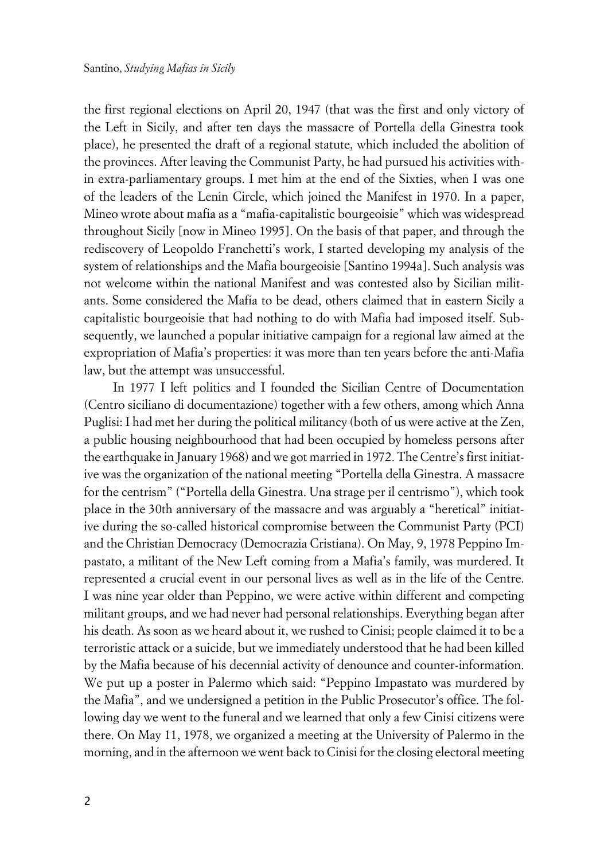the first regional elections on April 20, 1947 (that was the first and only victory of the Left in Sicily, and after ten days the massacre of Portella della Ginestra took place), he presented the draft of a regional statute, which included the abolition of the provinces. After leaving the Communist Party, he had pursued his activities within extra-parliamentary groups. I met him at the end of the Sixties, when I was one of the leaders of the Lenin Circle, which joined the Manifest in 1970. In a paper, Mineo wrote about mafia as a "mafia-capitalistic bourgeoisie" which was widespread throughout Sicily [now in Mineo 1995]. On the basis of that paper, and through the rediscovery of Leopoldo Franchetti's work, I started developing my analysis of the system of relationships and the Mafia bourgeoisie [Santino 1994a]. Such analysis was not welcome within the national Manifest and was contested also by Sicilian militants. Some considered the Mafia to be dead, others claimed that in eastern Sicily a capitalistic bourgeoisie that had nothing to do with Mafia had imposed itself. Subsequently, we launched a popular initiative campaign for a regional law aimed at the expropriation of Mafia's properties: it was more than ten years before the anti-Mafia law, but the attempt was unsuccessful.

In 1977 I left politics and I founded the Sicilian Centre of Documentation (Centro siciliano di documentazione) together with a few others, among which Anna Puglisi: I had met her during the political militancy (both of us were active at the Zen, a public housing neighbourhood that had been occupied by homeless persons after the earthquake in January 1968) and we got married in 1972. The Centre's first initiative was the organization of the national meeting "Portella della Ginestra. A massacre for the centrism" ("Portella della Ginestra. Una strage per il centrismo"), which took place in the 30th anniversary of the massacre and was arguably a "heretical" initiative during the so-called historical compromise between the Communist Party (PCI) and the Christian Democracy (Democrazia Cristiana). On May, 9, 1978 Peppino Impastato, a militant of the New Left coming from a Mafia's family, was murdered. It represented a crucial event in our personal lives as well as in the life of the Centre. I was nine year older than Peppino, we were active within different and competing militant groups, and we had never had personal relationships. Everything began after his death. As soon as we heard about it, we rushed to Cinisi; people claimed it to be a terroristic attack or a suicide, but we immediately understood that he had been killed by the Mafia because of his decennial activity of denounce and counter-information. We put up a poster in Palermo which said: "Peppino Impastato was murdered by the Mafia", and we undersigned a petition in the Public Prosecutor's office. The following day we went to the funeral and we learned that only a few Cinisi citizens were there. On May 11, 1978, we organized a meeting at the University of Palermo in the morning, and in the afternoon we went back to Cinisi for the closing electoral meeting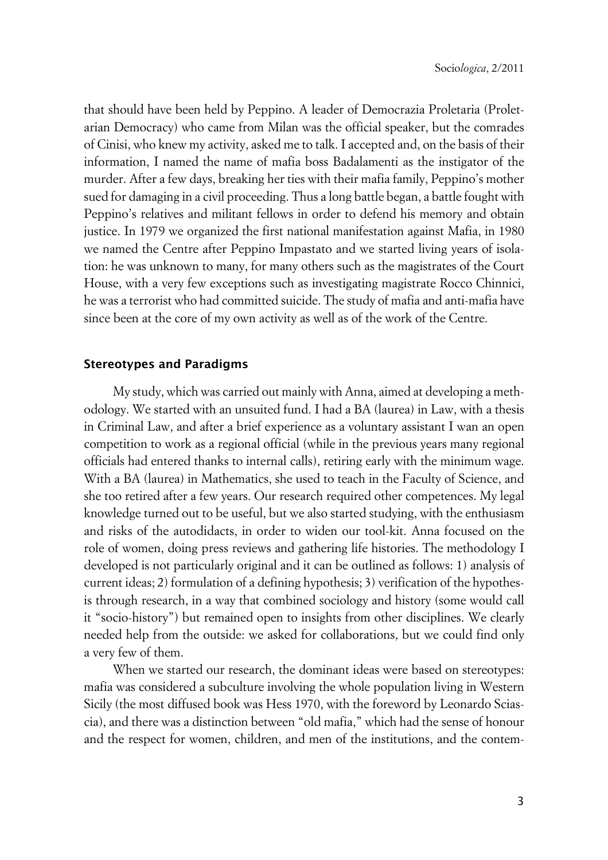that should have been held by Peppino. A leader of Democrazia Proletaria (Proletarian Democracy) who came from Milan was the official speaker, but the comrades of Cinisi, who knew my activity, asked me to talk. I accepted and, on the basis of their information, I named the name of mafia boss Badalamenti as the instigator of the murder. After a few days, breaking her ties with their mafia family, Peppino's mother sued for damaging in a civil proceeding. Thus a long battle began, a battle fought with Peppino's relatives and militant fellows in order to defend his memory and obtain justice. In 1979 we organized the first national manifestation against Mafia, in 1980 we named the Centre after Peppino Impastato and we started living years of isolation: he was unknown to many, for many others such as the magistrates of the Court House, with a very few exceptions such as investigating magistrate Rocco Chinnici, he was a terrorist who had committed suicide. The study of mafia and anti-mafia have since been at the core of my own activity as well as of the work of the Centre.

#### **Stereotypes and Paradigms**

My study, which was carried out mainly with Anna, aimed at developing a methodology. We started with an unsuited fund. I had a BA (laurea) in Law, with a thesis in Criminal Law, and after a brief experience as a voluntary assistant I wan an open competition to work as a regional official (while in the previous years many regional officials had entered thanks to internal calls), retiring early with the minimum wage. With a BA (laurea) in Mathematics, she used to teach in the Faculty of Science, and she too retired after a few years. Our research required other competences. My legal knowledge turned out to be useful, but we also started studying, with the enthusiasm and risks of the autodidacts, in order to widen our tool-kit. Anna focused on the role of women, doing press reviews and gathering life histories. The methodology I developed is not particularly original and it can be outlined as follows: 1) analysis of current ideas; 2) formulation of a defining hypothesis; 3) verification of the hypothesis through research, in a way that combined sociology and history (some would call it "socio-history") but remained open to insights from other disciplines. We clearly needed help from the outside: we asked for collaborations, but we could find only a very few of them.

When we started our research, the dominant ideas were based on stereotypes: mafia was considered a subculture involving the whole population living in Western Sicily (the most diffused book was Hess 1970, with the foreword by Leonardo Sciascia), and there was a distinction between "old mafia," which had the sense of honour and the respect for women, children, and men of the institutions, and the contem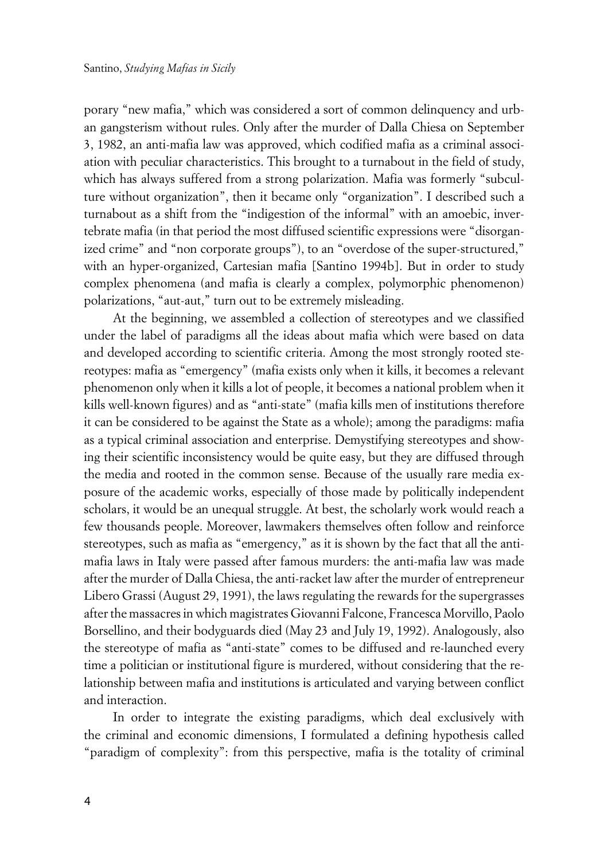porary "new mafia," which was considered a sort of common delinquency and urban gangsterism without rules. Only after the murder of Dalla Chiesa on September 3, 1982, an anti-mafia law was approved, which codified mafia as a criminal association with peculiar characteristics. This brought to a turnabout in the field of study, which has always suffered from a strong polarization. Mafia was formerly "subculture without organization", then it became only "organization". I described such a turnabout as a shift from the "indigestion of the informal" with an amoebic, invertebrate mafia (in that period the most diffused scientific expressions were "disorganized crime" and "non corporate groups"), to an "overdose of the super-structured," with an hyper-organized, Cartesian mafia [Santino 1994b]. But in order to study complex phenomena (and mafia is clearly a complex, polymorphic phenomenon) polarizations, "aut-aut," turn out to be extremely misleading.

At the beginning, we assembled a collection of stereotypes and we classified under the label of paradigms all the ideas about mafia which were based on data and developed according to scientific criteria. Among the most strongly rooted stereotypes: mafia as "emergency" (mafia exists only when it kills, it becomes a relevant phenomenon only when it kills a lot of people, it becomes a national problem when it kills well-known figures) and as "anti-state" (mafia kills men of institutions therefore it can be considered to be against the State as a whole); among the paradigms: mafia as a typical criminal association and enterprise. Demystifying stereotypes and showing their scientific inconsistency would be quite easy, but they are diffused through the media and rooted in the common sense. Because of the usually rare media exposure of the academic works, especially of those made by politically independent scholars, it would be an unequal struggle. At best, the scholarly work would reach a few thousands people. Moreover, lawmakers themselves often follow and reinforce stereotypes, such as mafia as "emergency," as it is shown by the fact that all the antimafia laws in Italy were passed after famous murders: the anti-mafia law was made after the murder of Dalla Chiesa, the anti-racket law after the murder of entrepreneur Libero Grassi (August 29, 1991), the laws regulating the rewards for the supergrasses after the massacres in which magistrates Giovanni Falcone, Francesca Morvillo, Paolo Borsellino, and their bodyguards died (May 23 and July 19, 1992). Analogously, also the stereotype of mafia as "anti-state" comes to be diffused and re-launched every time a politician or institutional figure is murdered, without considering that the relationship between mafia and institutions is articulated and varying between conflict and interaction.

In order to integrate the existing paradigms, which deal exclusively with the criminal and economic dimensions, I formulated a defining hypothesis called "paradigm of complexity": from this perspective, mafia is the totality of criminal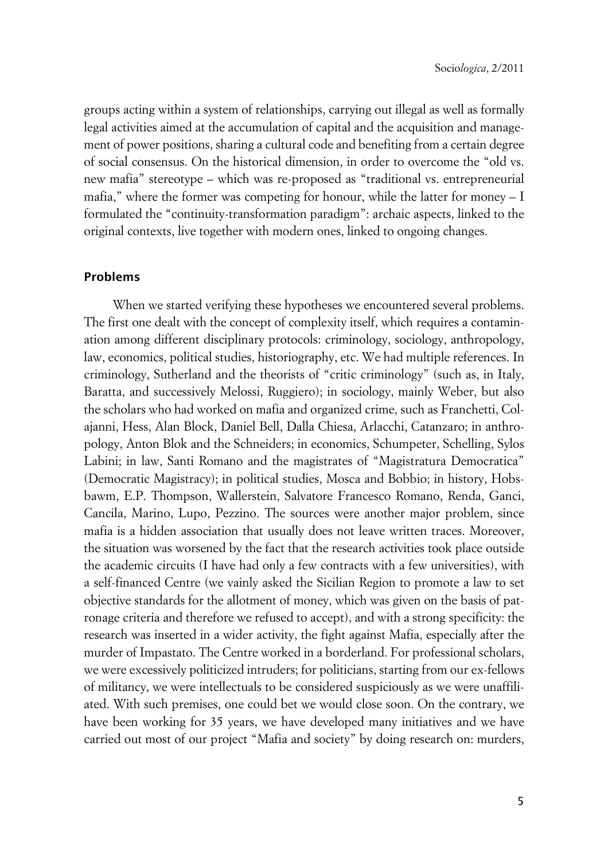groups acting within a system of relationships, carrying out illegal as well as formally legal activities aimed at the accumulation of capital and the acquisition and management of power positions, sharing a cultural code and benefiting from a certain degree of social consensus. On the historical dimension, in order to overcome the "old vs. new mafia" stereotype – which was re-proposed as "traditional vs. entrepreneurial mafia," where the former was competing for honour, while the latter for money – I formulated the "continuity-transformation paradigm": archaic aspects, linked to the original contexts, live together with modern ones, linked to ongoing changes.

#### **xProblems**

When we started verifying these hypotheses we encountered several problems. The first one dealt with the concept of complexity itself, which requires a contamination among different disciplinary protocols: criminology, sociology, anthropology, law, economics, political studies, historiography, etc. We had multiple references. In criminology, Sutherland and the theorists of "critic criminology" (such as, in Italy, Baratta, and successively Melossi, Ruggiero); in sociology, mainly Weber, but also the scholars who had worked on mafia and organized crime, such as Franchetti, Colajanni, Hess, Alan Block, Daniel Bell, Dalla Chiesa, Arlacchi, Catanzaro; in anthropology, Anton Blok and the Schneiders; in economics, Schumpeter, Schelling, Sylos Labini; in law, Santi Romano and the magistrates of "Magistratura Democratica" (Democratic Magistracy); in political studies, Mosca and Bobbio; in history, Hobsbawm, E.P. Thompson, Wallerstein, Salvatore Francesco Romano, Renda, Ganci, Cancila, Marino, Lupo, Pezzino. The sources were another major problem, since mafia is a hidden association that usually does not leave written traces. Moreover, the situation was worsened by the fact that the research activities took place outside the academic circuits (I have had only a few contracts with a few universities), with a self-financed Centre (we vainly asked the Sicilian Region to promote a law to set objective standards for the allotment of money, which was given on the basis of patronage criteria and therefore we refused to accept), and with a strong specificity: the research was inserted in a wider activity, the fight against Mafia, especially after the murder of Impastato. The Centre worked in a borderland. For professional scholars, we were excessively politicized intruders; for politicians, starting from our ex-fellows of militancy, we were intellectuals to be considered suspiciously as we were unaffiliated. With such premises, one could bet we would close soon. On the contrary, we have been working for 35 years, we have developed many initiatives and we have carried out most of our project "Mafia and society" by doing research on: murders,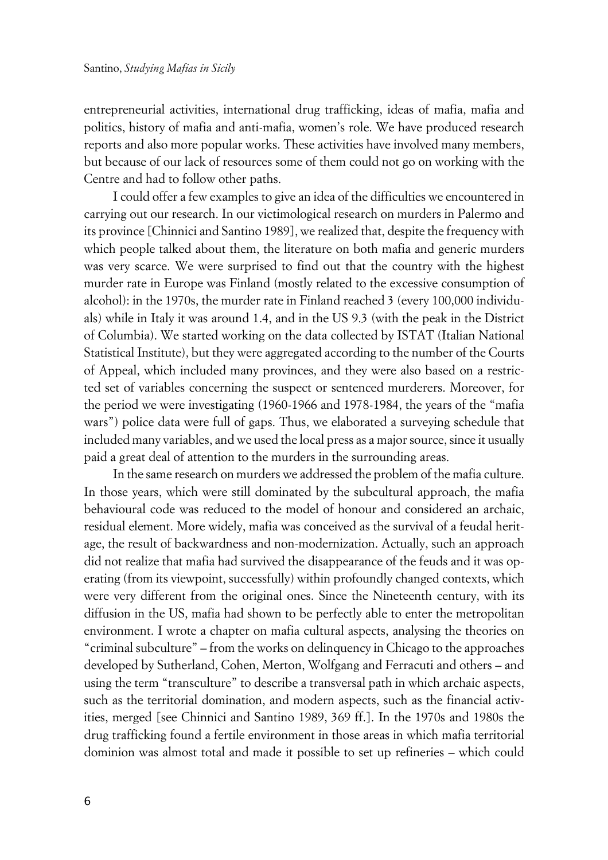entrepreneurial activities, international drug trafficking, ideas of mafia, mafia and politics, history of mafia and anti-mafia, women's role. We have produced research reports and also more popular works. These activities have involved many members, but because of our lack of resources some of them could not go on working with the Centre and had to follow other paths.

I could offer a few examples to give an idea of the difficulties we encountered in carrying out our research. In our victimological research on murders in Palermo and its province [Chinnici and Santino 1989], we realized that, despite the frequency with which people talked about them, the literature on both mafia and generic murders was very scarce. We were surprised to find out that the country with the highest murder rate in Europe was Finland (mostly related to the excessive consumption of alcohol): in the 1970s, the murder rate in Finland reached 3 (every 100,000 individuals) while in Italy it was around 1.4, and in the US 9.3 (with the peak in the District of Columbia). We started working on the data collected by ISTAT (Italian National Statistical Institute), but they were aggregated according to the number of the Courts of Appeal, which included many provinces, and they were also based on a restricted set of variables concerning the suspect or sentenced murderers. Moreover, for the period we were investigating (1960-1966 and 1978-1984, the years of the "mafia wars") police data were full of gaps. Thus, we elaborated a surveying schedule that included many variables, and we used the local press as a major source, since it usually paid a great deal of attention to the murders in the surrounding areas.

In the same research on murders we addressed the problem of the mafia culture. In those years, which were still dominated by the subcultural approach, the mafia behavioural code was reduced to the model of honour and considered an archaic, residual element. More widely, mafia was conceived as the survival of a feudal heritage, the result of backwardness and non-modernization. Actually, such an approach did not realize that mafia had survived the disappearance of the feuds and it was operating (from its viewpoint, successfully) within profoundly changed contexts, which were very different from the original ones. Since the Nineteenth century, with its diffusion in the US, mafia had shown to be perfectly able to enter the metropolitan environment. I wrote a chapter on mafia cultural aspects, analysing the theories on "criminal subculture" – from the works on delinquency in Chicago to the approaches developed by Sutherland, Cohen, Merton, Wolfgang and Ferracuti and others – and using the term "transculture" to describe a transversal path in which archaic aspects, such as the territorial domination, and modern aspects, such as the financial activities, merged [see Chinnici and Santino 1989, 369 ff.]. In the 1970s and 1980s the drug trafficking found a fertile environment in those areas in which mafia territorial dominion was almost total and made it possible to set up refineries – which could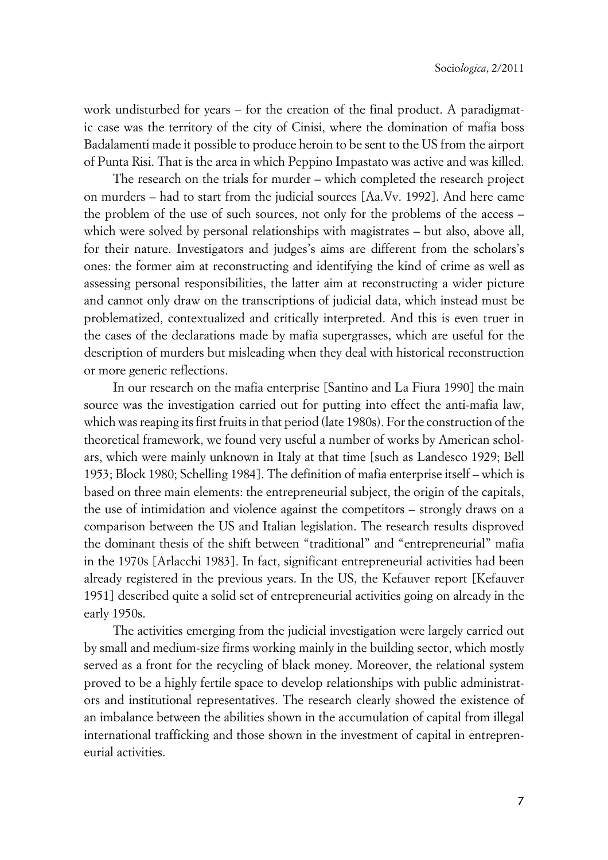work undisturbed for years – for the creation of the final product. A paradigmatic case was the territory of the city of Cinisi, where the domination of mafia boss Badalamenti made it possible to produce heroin to be sent to the US from the airport of Punta Risi. That is the area in which Peppino Impastato was active and was killed.

The research on the trials for murder – which completed the research project on murders – had to start from the judicial sources [Aa.Vv. 1992]. And here came the problem of the use of such sources, not only for the problems of the access – which were solved by personal relationships with magistrates – but also, above all, for their nature. Investigators and judges's aims are different from the scholars's ones: the former aim at reconstructing and identifying the kind of crime as well as assessing personal responsibilities, the latter aim at reconstructing a wider picture and cannot only draw on the transcriptions of judicial data, which instead must be problematized, contextualized and critically interpreted. And this is even truer in the cases of the declarations made by mafia supergrasses, which are useful for the description of murders but misleading when they deal with historical reconstruction or more generic reflections.

In our research on the mafia enterprise [Santino and La Fiura 1990] the main source was the investigation carried out for putting into effect the anti-mafia law, which was reaping its first fruits in that period (late 1980s). For the construction of the theoretical framework, we found very useful a number of works by American scholars, which were mainly unknown in Italy at that time [such as Landesco 1929; Bell 1953; Block 1980; Schelling 1984]. The definition of mafia enterprise itself – which is based on three main elements: the entrepreneurial subject, the origin of the capitals, the use of intimidation and violence against the competitors – strongly draws on a comparison between the US and Italian legislation. The research results disproved the dominant thesis of the shift between "traditional" and "entrepreneurial" mafia in the 1970s [Arlacchi 1983]. In fact, significant entrepreneurial activities had been already registered in the previous years. In the US, the Kefauver report [Kefauver 1951] described quite a solid set of entrepreneurial activities going on already in the early 1950s.

The activities emerging from the judicial investigation were largely carried out by small and medium-size firms working mainly in the building sector, which mostly served as a front for the recycling of black money. Moreover, the relational system proved to be a highly fertile space to develop relationships with public administrators and institutional representatives. The research clearly showed the existence of an imbalance between the abilities shown in the accumulation of capital from illegal international trafficking and those shown in the investment of capital in entrepreneurial activities.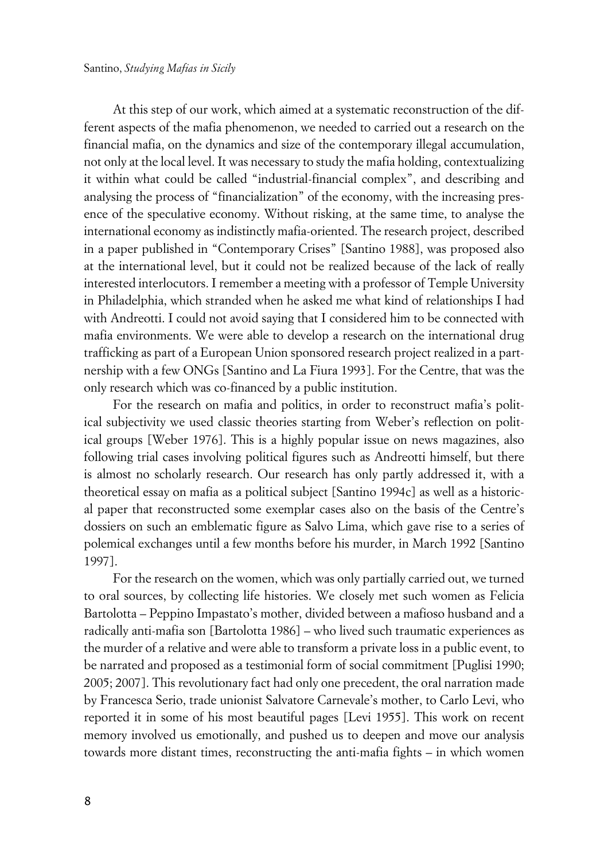At this step of our work, which aimed at a systematic reconstruction of the different aspects of the mafia phenomenon, we needed to carried out a research on the financial mafia, on the dynamics and size of the contemporary illegal accumulation, not only at the local level. It was necessary to study the mafia holding, contextualizing it within what could be called "industrial-financial complex", and describing and analysing the process of "financialization" of the economy, with the increasing presence of the speculative economy. Without risking, at the same time, to analyse the international economy as indistinctly mafia-oriented. The research project, described in a paper published in "Contemporary Crises" [Santino 1988], was proposed also at the international level, but it could not be realized because of the lack of really interested interlocutors. I remember a meeting with a professor of Temple University in Philadelphia, which stranded when he asked me what kind of relationships I had with Andreotti. I could not avoid saying that I considered him to be connected with mafia environments. We were able to develop a research on the international drug trafficking as part of a European Union sponsored research project realized in a partnership with a few ONGs [Santino and La Fiura 1993]. For the Centre, that was the only research which was co-financed by a public institution.

For the research on mafia and politics, in order to reconstruct mafia's political subjectivity we used classic theories starting from Weber's reflection on political groups [Weber 1976]. This is a highly popular issue on news magazines, also following trial cases involving political figures such as Andreotti himself, but there is almost no scholarly research. Our research has only partly addressed it, with a theoretical essay on mafia as a political subject [Santino 1994c] as well as a historical paper that reconstructed some exemplar cases also on the basis of the Centre's dossiers on such an emblematic figure as Salvo Lima, which gave rise to a series of polemical exchanges until a few months before his murder, in March 1992 [Santino 1997].

For the research on the women, which was only partially carried out, we turned to oral sources, by collecting life histories. We closely met such women as Felicia Bartolotta – Peppino Impastato's mother, divided between a mafioso husband and a radically anti-mafia son [Bartolotta 1986] – who lived such traumatic experiences as the murder of a relative and were able to transform a private loss in a public event, to be narrated and proposed as a testimonial form of social commitment [Puglisi 1990; 2005; 2007]. This revolutionary fact had only one precedent, the oral narration made by Francesca Serio, trade unionist Salvatore Carnevale's mother, to Carlo Levi, who reported it in some of his most beautiful pages [Levi 1955]. This work on recent memory involved us emotionally, and pushed us to deepen and move our analysis towards more distant times, reconstructing the anti-mafia fights – in which women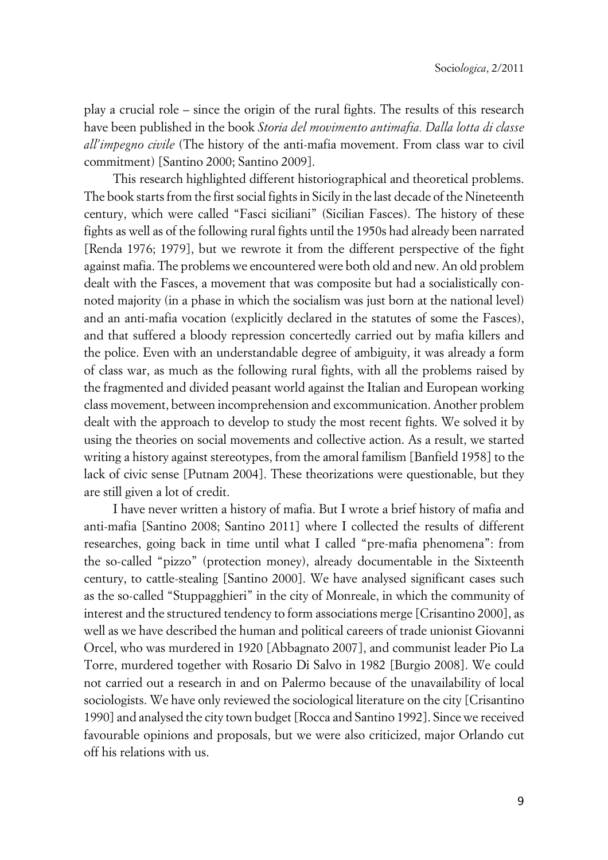play a crucial role – since the origin of the rural fights. The results of this research have been published in the book *Storia del movimento antimafia. Dalla lotta di classe all'impegno civile* (The history of the anti-mafia movement. From class war to civil commitment) [Santino 2000; Santino 2009].

This research highlighted different historiographical and theoretical problems. The book starts from the first social fights in Sicily in the last decade of the Nineteenth century, which were called "Fasci siciliani" (Sicilian Fasces). The history of these fights as well as of the following rural fights until the 1950s had already been narrated [Renda 1976; 1979], but we rewrote it from the different perspective of the fight against mafia. The problems we encountered were both old and new. An old problem dealt with the Fasces, a movement that was composite but had a socialistically connoted majority (in a phase in which the socialism was just born at the national level) and an anti-mafia vocation (explicitly declared in the statutes of some the Fasces), and that suffered a bloody repression concertedly carried out by mafia killers and the police. Even with an understandable degree of ambiguity, it was already a form of class war, as much as the following rural fights, with all the problems raised by the fragmented and divided peasant world against the Italian and European working class movement, between incomprehension and excommunication. Another problem dealt with the approach to develop to study the most recent fights. We solved it by using the theories on social movements and collective action. As a result, we started writing a history against stereotypes, from the amoral familism [Banfield 1958] to the lack of civic sense [Putnam 2004]. These theorizations were questionable, but they are still given a lot of credit.

I have never written a history of mafia. But I wrote a brief history of mafia and anti-mafia [Santino 2008; Santino 2011] where I collected the results of different researches, going back in time until what I called "pre-mafia phenomena": from the so-called "pizzo" (protection money), already documentable in the Sixteenth century, to cattle-stealing [Santino 2000]. We have analysed significant cases such as the so-called "Stuppagghieri" in the city of Monreale, in which the community of interest and the structured tendency to form associations merge [Crisantino 2000], as well as we have described the human and political careers of trade unionist Giovanni Orcel, who was murdered in 1920 [Abbagnato 2007], and communist leader Pio La Torre, murdered together with Rosario Di Salvo in 1982 [Burgio 2008]. We could not carried out a research in and on Palermo because of the unavailability of local sociologists. We have only reviewed the sociological literature on the city [Crisantino 1990] and analysed the city town budget [Rocca and Santino 1992]. Since we received favourable opinions and proposals, but we were also criticized, major Orlando cut off his relations with us.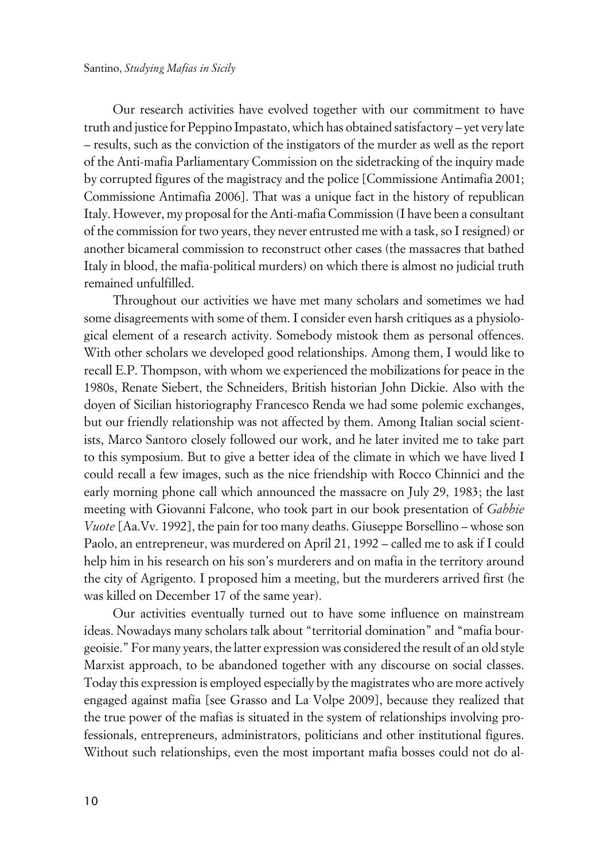Our research activities have evolved together with our commitment to have truth and justice for Peppino Impastato, which has obtained satisfactory – yet very late – results, such as the conviction of the instigators of the murder as well as the report of the Anti-mafia Parliamentary Commission on the sidetracking of the inquiry made by corrupted figures of the magistracy and the police [Commissione Antimafia 2001; Commissione Antimafia 2006]. That was a unique fact in the history of republican Italy. However, my proposal for the Anti-mafia Commission (I have been a consultant of the commission for two years, they never entrusted me with a task, so I resigned) or another bicameral commission to reconstruct other cases (the massacres that bathed Italy in blood, the mafia-political murders) on which there is almost no judicial truth remained unfulfilled.

Throughout our activities we have met many scholars and sometimes we had some disagreements with some of them. I consider even harsh critiques as a physiological element of a research activity. Somebody mistook them as personal offences. With other scholars we developed good relationships. Among them, I would like to recall E.P. Thompson, with whom we experienced the mobilizations for peace in the 1980s, Renate Siebert, the Schneiders, British historian John Dickie. Also with the doyen of Sicilian historiography Francesco Renda we had some polemic exchanges, but our friendly relationship was not affected by them. Among Italian social scientists, Marco Santoro closely followed our work, and he later invited me to take part to this symposium. But to give a better idea of the climate in which we have lived I could recall a few images, such as the nice friendship with Rocco Chinnici and the early morning phone call which announced the massacre on July 29, 1983; the last meeting with Giovanni Falcone, who took part in our book presentation of *Gabbie Vuote* [Aa.Vv. 1992], the pain for too many deaths. Giuseppe Borsellino – whose son Paolo, an entrepreneur, was murdered on April 21, 1992 – called me to ask if I could help him in his research on his son's murderers and on mafia in the territory around the city of Agrigento. I proposed him a meeting, but the murderers arrived first (he was killed on December 17 of the same year).

Our activities eventually turned out to have some influence on mainstream ideas. Nowadays many scholars talk about "territorial domination" and "mafia bourgeoisie." For many years, the latter expression was considered the result of an old style Marxist approach, to be abandoned together with any discourse on social classes. Today this expression is employed especially by the magistrates who are more actively engaged against mafia [see Grasso and La Volpe 2009], because they realized that the true power of the mafias is situated in the system of relationships involving professionals, entrepreneurs, administrators, politicians and other institutional figures. Without such relationships, even the most important mafia bosses could not do al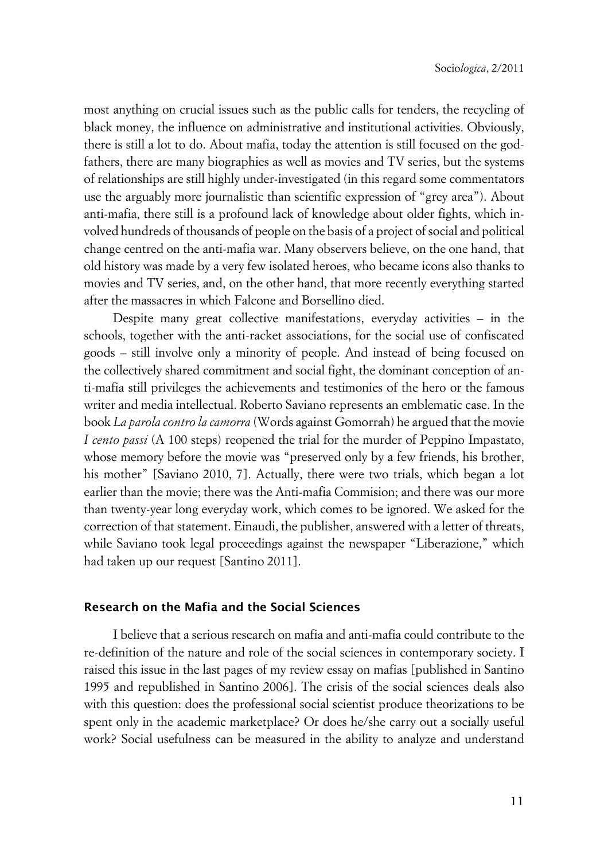most anything on crucial issues such as the public calls for tenders, the recycling of black money, the influence on administrative and institutional activities. Obviously, there is still a lot to do. About mafia, today the attention is still focused on the godfathers, there are many biographies as well as movies and TV series, but the systems of relationships are still highly under-investigated (in this regard some commentators use the arguably more journalistic than scientific expression of "grey area"). About anti-mafia, there still is a profound lack of knowledge about older fights, which involved hundreds of thousands of people on the basis of a project of social and political change centred on the anti-mafia war. Many observers believe, on the one hand, that old history was made by a very few isolated heroes, who became icons also thanks to movies and TV series, and, on the other hand, that more recently everything started after the massacres in which Falcone and Borsellino died.

Despite many great collective manifestations, everyday activities – in the schools, together with the anti-racket associations, for the social use of confiscated goods – still involve only a minority of people. And instead of being focused on the collectively shared commitment and social fight, the dominant conception of anti-mafia still privileges the achievements and testimonies of the hero or the famous writer and media intellectual. Roberto Saviano represents an emblematic case. In the book *La parola contro la camorra* (Words against Gomorrah) he argued that the movie *I cento passi* (A 100 steps) reopened the trial for the murder of Peppino Impastato, whose memory before the movie was "preserved only by a few friends, his brother, his mother" [Saviano 2010, 7]. Actually, there were two trials, which began a lot earlier than the movie; there was the Anti-mafia Commision; and there was our more than twenty-year long everyday work, which comes to be ignored. We asked for the correction of that statement. Einaudi, the publisher, answered with a letter of threats, while Saviano took legal proceedings against the newspaper "Liberazione," which had taken up our request [Santino 2011].

#### **xResearch on the Mafia and the Social Sciences**

I believe that a serious research on mafia and anti-mafia could contribute to the re-definition of the nature and role of the social sciences in contemporary society. I raised this issue in the last pages of my review essay on mafias [published in Santino 1995 and republished in Santino 2006]. The crisis of the social sciences deals also with this question: does the professional social scientist produce theorizations to be spent only in the academic marketplace? Or does he/she carry out a socially useful work? Social usefulness can be measured in the ability to analyze and understand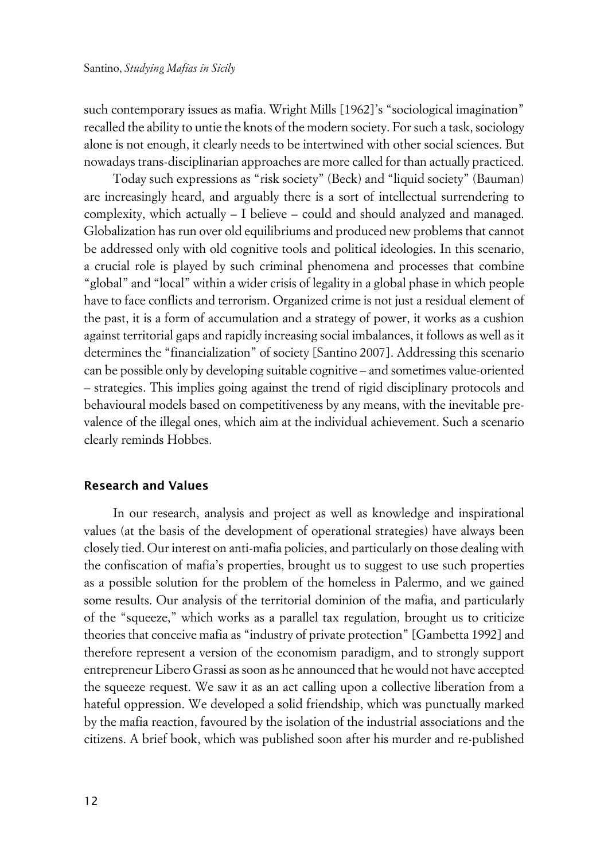such contemporary issues as mafia. Wright Mills [1962]'s "sociological imagination" recalled the ability to untie the knots of the modern society. For such a task, sociology alone is not enough, it clearly needs to be intertwined with other social sciences. But nowadays trans-disciplinarian approaches are more called for than actually practiced.

Today such expressions as "risk society" (Beck) and "liquid society" (Bauman) are increasingly heard, and arguably there is a sort of intellectual surrendering to complexity, which actually – I believe – could and should analyzed and managed. Globalization has run over old equilibriums and produced new problems that cannot be addressed only with old cognitive tools and political ideologies. In this scenario, a crucial role is played by such criminal phenomena and processes that combine "global" and "local" within a wider crisis of legality in a global phase in which people have to face conflicts and terrorism. Organized crime is not just a residual element of the past, it is a form of accumulation and a strategy of power, it works as a cushion against territorial gaps and rapidly increasing social imbalances, it follows as well as it determines the "financialization" of society [Santino 2007]. Addressing this scenario can be possible only by developing suitable cognitive – and sometimes value-oriented – strategies. This implies going against the trend of rigid disciplinary protocols and behavioural models based on competitiveness by any means, with the inevitable prevalence of the illegal ones, which aim at the individual achievement. Such a scenario clearly reminds Hobbes.

#### **xResearch and Values**

In our research, analysis and project as well as knowledge and inspirational values (at the basis of the development of operational strategies) have always been closely tied. Our interest on anti-mafia policies, and particularly on those dealing with the confiscation of mafia's properties, brought us to suggest to use such properties as a possible solution for the problem of the homeless in Palermo, and we gained some results. Our analysis of the territorial dominion of the mafia, and particularly of the "squeeze," which works as a parallel tax regulation, brought us to criticize theories that conceive mafia as "industry of private protection" [Gambetta 1992] and therefore represent a version of the economism paradigm, and to strongly support entrepreneur Libero Grassi as soon as he announced that he would not have accepted the squeeze request. We saw it as an act calling upon a collective liberation from a hateful oppression. We developed a solid friendship, which was punctually marked by the mafia reaction, favoured by the isolation of the industrial associations and the citizens. A brief book, which was published soon after his murder and re-published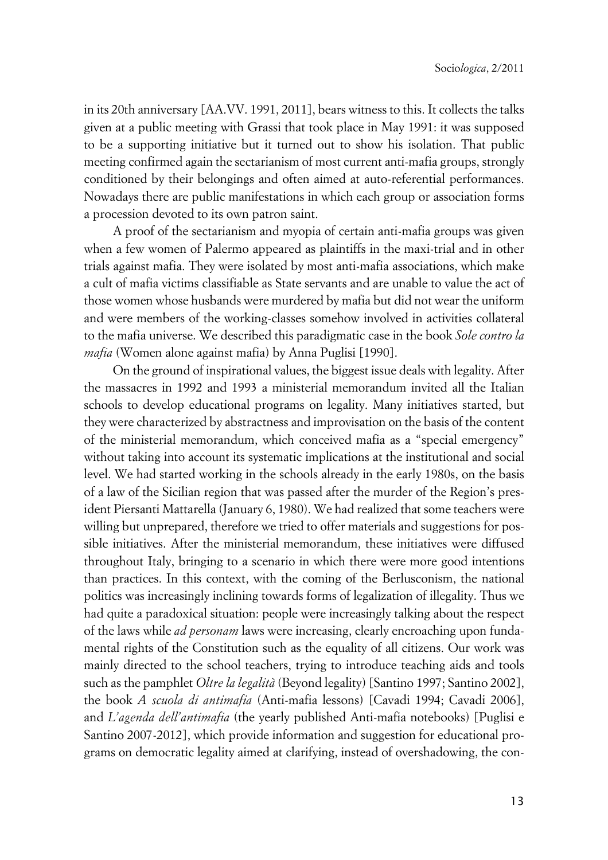in its 20th anniversary [AA.VV. 1991, 2011], bears witness to this. It collects the talks given at a public meeting with Grassi that took place in May 1991: it was supposed to be a supporting initiative but it turned out to show his isolation. That public meeting confirmed again the sectarianism of most current anti-mafia groups, strongly conditioned by their belongings and often aimed at auto-referential performances. Nowadays there are public manifestations in which each group or association forms a procession devoted to its own patron saint.

A proof of the sectarianism and myopia of certain anti-mafia groups was given when a few women of Palermo appeared as plaintiffs in the maxi-trial and in other trials against mafia. They were isolated by most anti-mafia associations, which make a cult of mafia victims classifiable as State servants and are unable to value the act of those women whose husbands were murdered by mafia but did not wear the uniform and were members of the working-classes somehow involved in activities collateral to the mafia universe. We described this paradigmatic case in the book *Sole contro la mafia* (Women alone against mafia) by Anna Puglisi [1990].

On the ground of inspirational values, the biggest issue deals with legality. After the massacres in 1992 and 1993 a ministerial memorandum invited all the Italian schools to develop educational programs on legality. Many initiatives started, but they were characterized by abstractness and improvisation on the basis of the content of the ministerial memorandum, which conceived mafia as a "special emergency" without taking into account its systematic implications at the institutional and social level. We had started working in the schools already in the early 1980s, on the basis of a law of the Sicilian region that was passed after the murder of the Region's president Piersanti Mattarella (January 6, 1980). We had realized that some teachers were willing but unprepared, therefore we tried to offer materials and suggestions for possible initiatives. After the ministerial memorandum, these initiatives were diffused throughout Italy, bringing to a scenario in which there were more good intentions than practices. In this context, with the coming of the Berlusconism, the national politics was increasingly inclining towards forms of legalization of illegality. Thus we had quite a paradoxical situation: people were increasingly talking about the respect of the laws while *ad personam* laws were increasing, clearly encroaching upon fundamental rights of the Constitution such as the equality of all citizens. Our work was mainly directed to the school teachers, trying to introduce teaching aids and tools such as the pamphlet *Oltre la legalità* (Beyond legality) [Santino 1997; Santino 2002], the book *A scuola di antimafia* (Anti-mafia lessons) [Cavadi 1994; Cavadi 2006], and *L'agenda dell'antimafia* (the yearly published Anti-mafia notebooks) [Puglisi e Santino 2007-2012], which provide information and suggestion for educational programs on democratic legality aimed at clarifying, instead of overshadowing, the con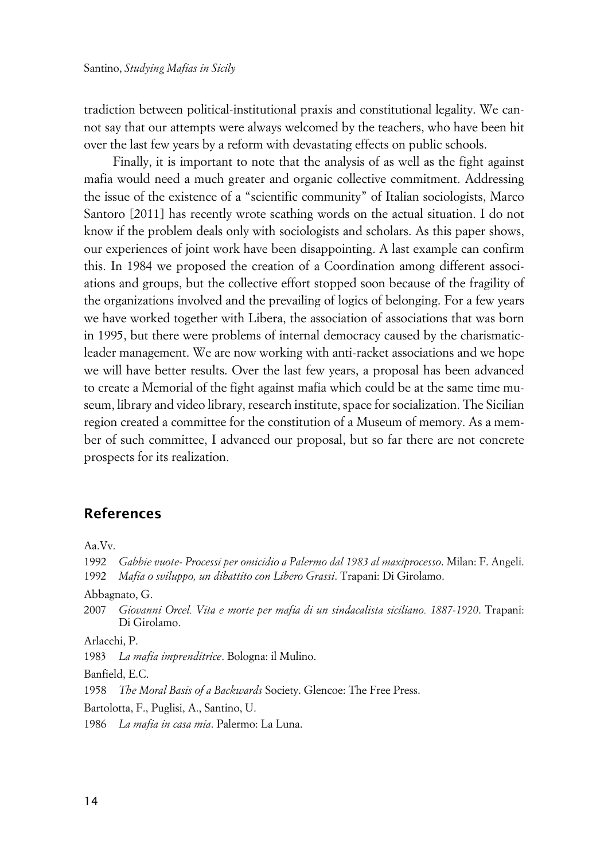tradiction between political-institutional praxis and constitutional legality. We cannot say that our attempts were always welcomed by the teachers, who have been hit over the last few years by a reform with devastating effects on public schools.

Finally, it is important to note that the analysis of as well as the fight against mafia would need a much greater and organic collective commitment. Addressing the issue of the existence of a "scientific community" of Italian sociologists, Marco Santoro [2011] has recently wrote scathing words on the actual situation. I do not know if the problem deals only with sociologists and scholars. As this paper shows, our experiences of joint work have been disappointing. A last example can confirm this. In 1984 we proposed the creation of a Coordination among different associations and groups, but the collective effort stopped soon because of the fragility of the organizations involved and the prevailing of logics of belonging. For a few years we have worked together with Libera, the association of associations that was born in 1995, but there were problems of internal democracy caused by the charismaticleader management. We are now working with anti-racket associations and we hope we will have better results. Over the last few years, a proposal has been advanced to create a Memorial of the fight against mafia which could be at the same time museum, library and video library, research institute, space for socialization. The Sicilian region created a committee for the constitution of a Museum of memory. As a member of such committee, I advanced our proposal, but so far there are not concrete prospects for its realization.

### **References**

Aa.Vv.

1992 *Gabbie vuote*- *Processi per omicidio a Palermo dal 1983 al maxiprocesso*. Milan: F. Angeli. 1992 *Mafia o sviluppo, un dibattito con Libero Grassi*. Trapani: Di Girolamo. Abbagnato, G. 2007 *Giovanni Orcel. Vita e morte per mafia di un sindacalista siciliano. 1887-1920*. Trapani: Di Girolamo. Arlacchi, P. 1983 *La mafia imprenditrice*. Bologna: il Mulino. Banfield, E.C. 1958 *The Moral Basis of a Backwards* Society. Glencoe: The Free Press. Bartolotta, F., Puglisi, A., Santino, U. 1986 *La mafia in casa mia*. Palermo: La Luna.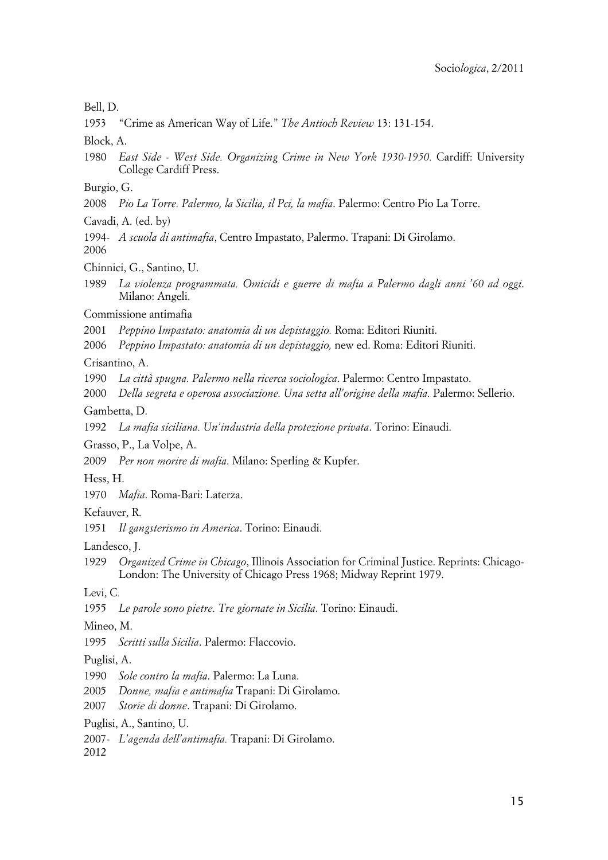#### Bell, D.

1953 "Crime as American Way of Life." *The Antioch Review* 13: 131-154.

Block, A.

1980 *East Side - West Side. Organizing Crime in New York 1930-1950.* Cardiff: University College Cardiff Press.

Burgio, G.

2008 *Pio La Torre. Palermo, la Sicilia, il Pci, la mafia*. Palermo: Centro Pio La Torre.

Cavadi, A. (ed. by)

1994- *A scuola di antimafia*, Centro Impastato, Palermo. Trapani: Di Girolamo. 2006

Chinnici, G., Santino, U.

1989 *La violenza programmata. Omicidi e guerre di mafia a Palermo dagli anni '60 ad oggi*. Milano: Angeli.

Commissione antimafia

2001 *Peppino Impastato: anatomia di un depistaggio.* Roma: Editori Riuniti.

2006 *Peppino Impastato: anatomia di un depistaggio,* new ed. Roma: Editori Riuniti.

Crisantino, A.

1990 *La città spugna. Palermo nella ricerca sociologica*. Palermo: Centro Impastato.

2000 *Della segreta e operosa associazione. Una setta all'origine della mafia.* Palermo: Sellerio.

Gambetta, D.

1992 *La mafia siciliana. Un'industria della protezione privata*. Torino: Einaudi.

Grasso, P., La Volpe, A.

2009 *Per non morire di mafia*. Milano: Sperling & Kupfer.

Hess, H.

1970 *Mafia*. Roma-Bari: Laterza.

Kefauver, R.

1951 *Il gangsterismo in America*. Torino: Einaudi.

Landesco, J.

1929 *Organized Crime in Chicago*, Illinois Association for Criminal Justice. Reprints: Chicago-London: The University of Chicago Press 1968; Midway Reprint 1979.

Levi, C*.*

1955 *Le parole sono pietre. Tre giornate in Sicilia*. Torino: Einaudi.

Mineo, M.

1995 *Scritti sulla Sicilia*. Palermo: Flaccovio.

Puglisi, A.

1990 *Sole contro la mafia*. Palermo: La Luna.

2005 *Donne, mafia e antimafia* Trapani: Di Girolamo.

2007 *Storie di donne*. Trapani: Di Girolamo.

Puglisi, A., Santino, U.

2007- *L'agenda dell'antimafia.* Trapani: Di Girolamo.

2012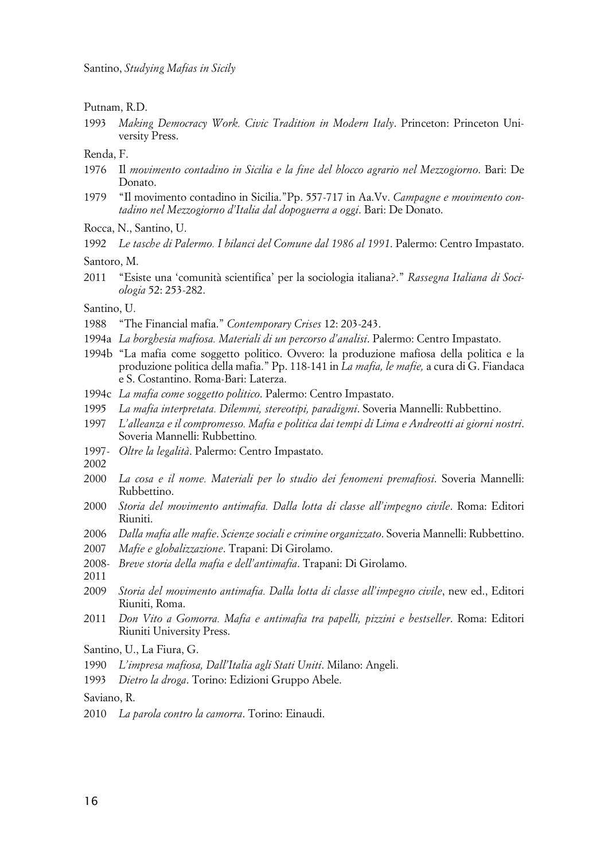Putnam, R.D.

1993 *Making Democracy Work. Civic Tradition in Modern Italy*. Princeton: Princeton University Press.

Renda, F.

- 1976 Il *movimento contadino in Sicilia e la fine del blocco agrario nel Mezzogiorno*. Bari: De Donato.
- 1979 "Il movimento contadino in Sicilia."Pp. 557-717 in Aa.Vv. *Campagne e movimento contadino nel Mezzogiorno d'Italia dal dopoguerra a oggi*. Bari: De Donato.

Rocca, N., Santino, U.

1992 *Le tasche di Palermo. I bilanci del Comune dal 1986 al 1991*. Palermo: Centro Impastato.

Santoro, M.

2011 "Esiste una 'comunità scientifica' per la sociologia italiana?." *Rassegna Italiana di Sociologia* 52: 253-282.

Santino, U.

- 1988 "The Financial mafia." *Contemporary Crises* 12: 203-243.
- 1994a *La borghesia mafiosa. Materiali di un percorso d'analisi*. Palermo: Centro Impastato.
- 1994b "La mafia come soggetto politico. Ovvero: la produzione mafiosa della politica e la produzione politica della mafia." Pp. 118-141 in *La mafia, le mafie,* a cura di G. Fiandaca e S. Costantino. Roma-Bari: Laterza.
- 1994c *La mafia come soggetto politico*. Palermo: Centro Impastato.
- 1995 *La mafia interpretata. Dilemmi, stereotipi, paradigmi*. Soveria Mannelli: Rubbettino.
- 1997 *L'alleanza e il compromesso. Mafia e politica dai tempi di Lima e Andreotti ai giorni nostri*. Soveria Mannelli: Rubbettino*.*
- 1997- *Oltre la legalità*. Palermo: Centro Impastato.

2002

- 2000 *La cosa e il nome. Materiali per lo studio dei fenomeni premafiosi*. Soveria Mannelli: Rubbettino.
- 2000 *Storia del movimento antimafia. Dalla lotta di classe all'impegno civile*. Roma: Editori Riuniti.
- 2006 *Dalla mafia alle mafie*. *Scienze sociali e crimine organizzato*. Soveria Mannelli: Rubbettino.
- 2007 *Mafie e globalizzazione*. Trapani: Di Girolamo.
- 2008- *Breve storia della mafia e dell'antimafia*. Trapani: Di Girolamo.
- 2011
- 2009 *Storia del movimento antimafia. Dalla lotta di classe all'impegno civile*, new ed., Editori Riuniti, Roma.
- 2011 *Don Vito a Gomorra. Mafia e antimafia tra papelli, pizzini e bestseller*. Roma: Editori Riuniti University Press.

Santino, U., La Fiura, G.

- 1990 *L'impresa mafiosa, Dall'Italia agli Stati Uniti*. Milano: Angeli.
- 1993 *Dietro la droga*. Torino: Edizioni Gruppo Abele.

Saviano, R.

2010 *La parola contro la camorra*. Torino: Einaudi.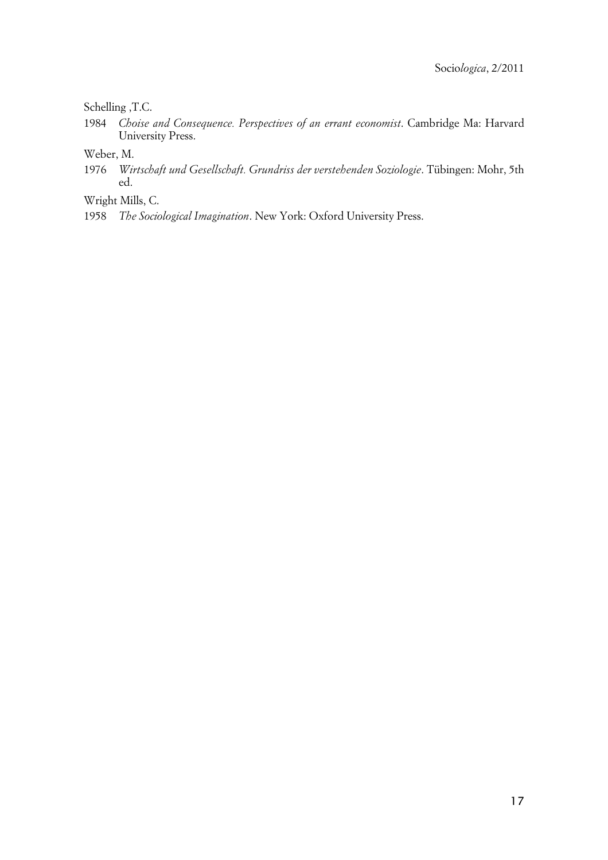#### Schelling ,T.C.

- 1984 *Choise and Consequence. Perspectives of an errant economist*. Cambridge Ma: Harvard University Press.
- Weber, M.
- 1976 *Wirtschaft und Gesellschaft. Grundriss der verstehenden Soziologie*. Tübingen: Mohr, 5th ed.
- Wright Mills, C.
- 1958 *The Sociological Imagination*. New York: Oxford University Press.